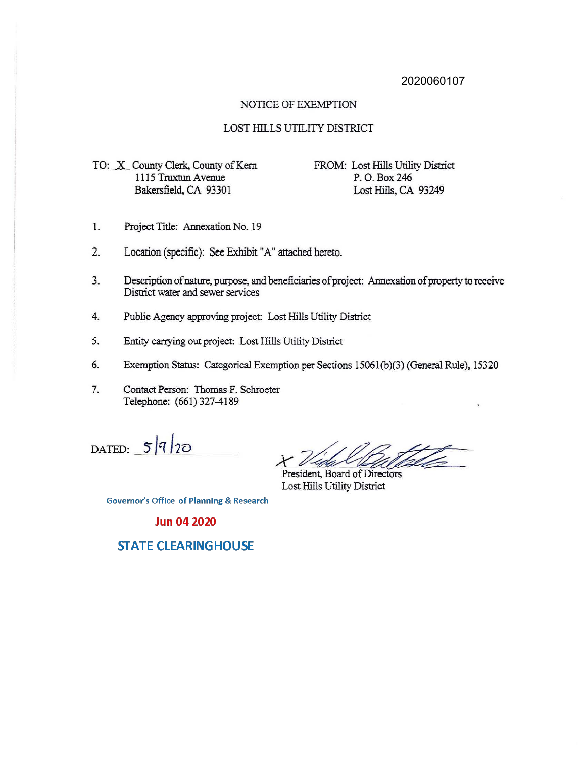## 2020060107

#### NOTICE OF EXEMPTION

## LOST HILLS UTILITY DISTRICT

TO: X County Clerk, County of Kern 1115 Truxtun Avenue Bakersfield, CA 93301

FROM: Lost Hills Utility District P. O.Box246 Lost Hills, CA 93249

- 1. Project Title: Annexation No. 19
- 2. Location (specific): See Exhibit "A" attached hereto.
- 3. Description of nature, purpose, and beneficiaries of project: Annexation of property to receive District water and sewer services
- 4. Public Agency approving project: Lost Hills Utility District
- *5.* Entity carrying out project: Lost Hills Utility District
- 6. Exemption Status: Categorical Exemption per Sections 1506l(b)(3)(General Rule), 15320
- 7. Contact Person: Thomas F. Schroeter Telephone: (661) 327-4189

 $DATA = 5/7/20$ 

*X* 

President, Board of Directors Lost Hills Utility District

**Governor's Office of Planning & Research** 

#### **Jun 04 2020**

# **STATE CLEARINGHOUSE**